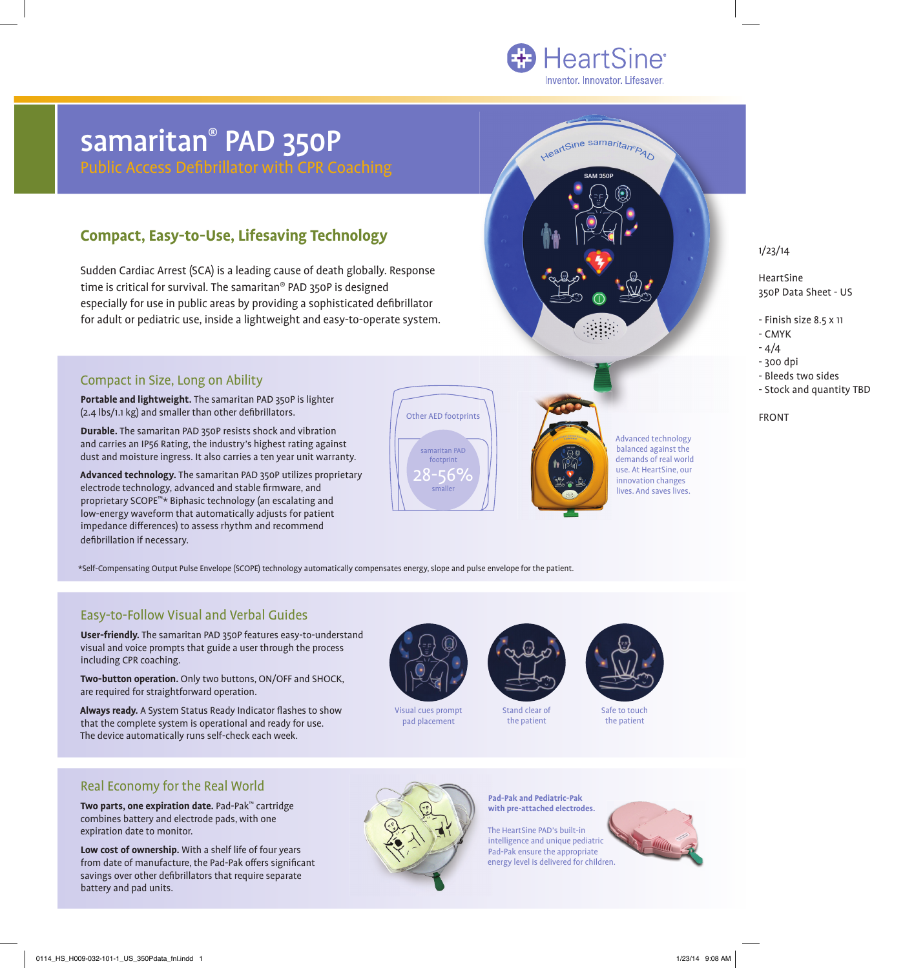HeartSine samaritan®PAO

# samaritan® PAD 350P

Public Access Defibrillator with CPR Coaching

#### **Compact, Easy-to-Use, Lifesaving Technology**

Sudden Cardiac Arrest (SCA) is a leading cause of death globally. Response time is critical for survival. The samaritan® PAD 350P is designed especially for use in public areas by providing a sophisticated defibrillator for adult or pediatric use, inside a lightweight and easy-to-operate system.

## Other AED footprints samaritan PAD footprint -56% smaller

Advanced technology balanced against the demands of real world use. At HeartSine, our innovation changes lives. And saves lives.

1/23/14

HeartSine 350P Data Sheet - US

- Finish size 8.5 x 11
- CMYK
- $-4/4$ - 300 dpi
- Bleeds two sides
- Stock and quantity TBD

FRONT

\*Self-Compensating Output Pulse Envelope (SCOPE) technology automatically compensates energy, slope and pulse envelope for the patient.

#### Easy-to-Follow Visual and Verbal Guides

Compact in Size, Long on Ability

defibrillation if necessary.

 $(2.4$  lbs/1.1 kg) and smaller than other defibrillators.

**Portable and lightweight.** The samaritan PAD 350P is lighter

**Durable.** The samaritan PAD 350P resists shock and vibration and carries an IP56 Rating, the industry's highest rating against dust and moisture ingress. It also carries a ten year unit warranty. **Advanced technology.** The samaritan PAD 350P utilizes proprietary

electrode technology, advanced and stable firmware, and proprietary SCOPE™\* Biphasic technology (an escalating and low-energy waveform that automatically adjusts for patient impedance differences) to assess rhythm and recommend

**User-friendly.** The samaritan PAD 350P features easy-to-understand visual and voice prompts that guide a user through the process including CPR coaching.

**Two-button operation.** Only two buttons, ON/OFF and SHOCK, are required for straightforward operation.

Always ready. A System Status Ready Indicator flashes to show that the complete system is operational and ready for use. The device automatically runs self-check each week.

Visual cues prompt pad placement



Stand clear of the patient



Safe to touch the patient

#### Real Economy for the Real World

**Two parts, one expiration date.** Pad-Pak™ cartridge combines battery and electrode pads, with one expiration date to monitor.

**Low cost of ownership.** With a shelf life of four years from date of manufacture, the Pad-Pak offers significant savings over other defibrillators that require separate battery and pad units.



#### **Pad-Pak and Pediatric-Pak with pre-attached electrodes.**

The HeartSine PAD's built-in intelligence and unique pediatric Pad-Pak ensure the appropriate energy level is delivered for children.